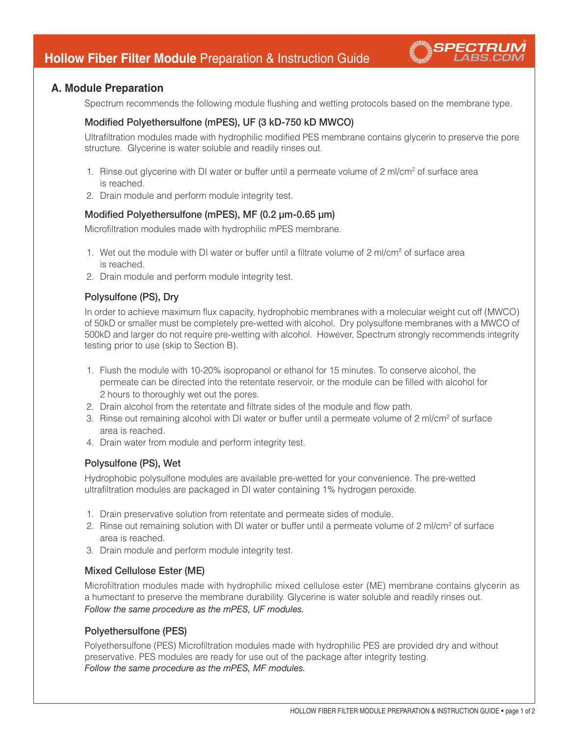

Spectrum recommends the following module flushing and wetting protocols based on the membrane type.

# Modified Polyethersulfone (mPES), UF (3 kD-750 kD MWCO)

Ultrafiltration modules made with hydrophilic modified PES membrane contains glycerin to preserve the pore structure. Glycerine is water soluble and readily rinses out.

- 1. Rinse out glycerine with DI water or buffer until a permeate volume of 2 ml/cm<sup>2</sup> of surface area is reached.
- 2. Drain module and perform module integrity test.

# Modified Polyethersulfone (mPES), MF (0.2 µm-0.65 µm)

Microfiltration modules made with hydrophilic mPES membrane.

- 1. Wet out the module with DI water or buffer until a filtrate volume of 2 ml/cm2 of surface area is reached.
- 2. Drain module and perform module integrity test.

# Polysulfone (PS), Dry

In order to achieve maximum flux capacity, hydrophobic membranes with a molecular weight cut off (MWCO) of 50kD or smaller must be completely pre-wetted with alcohol. Dry polysulfone membranes with a MWCO of 500kD and larger do not require pre-wetting with alcohol. However, Spectrum strongly recommends integrity testing prior to use (skip to Section B).

- 1. Flush the module with 10-20% isopropanol or ethanol for 15 minutes. To conserve alcohol, the permeate can be directed into the retentate reservoir, or the module can be filled with alcohol for 2 hours to thoroughly wet out the pores.
- 2. Drain alcohol from the retentate and filtrate sides of the module and flow path.
- 3. Rinse out remaining alcohol with DI water or buffer until a permeate volume of 2 ml/cm<sup>2</sup> of surface area is reached.
- 4. Drain water from module and perform integrity test.

# Polysulfone (PS), Wet

Hydrophobic polysulfone modules are available pre-wetted for your convenience. The pre-wetted ultrafiltration modules are packaged in DI water containing 1% hydrogen peroxide.

- 1. Drain preservative solution from retentate and permeate sides of module.
- 2. Rinse out remaining solution with DI water or buffer until a permeate volume of 2 ml/cm<sup>2</sup> of surface area is reached.
- 3. Drain module and perform module integrity test.

# Mixed Cellulose Ester (ME)

Microfiltration modules made with hydrophilic mixed cellulose ester (ME) membrane contains glycerin as a humectant to preserve the membrane durability. Glycerine is water soluble and readily rinses out. *Follow the same procedure as the mPES, UF modules.*

## Polyethersulfone (PES)

Polyethersulfone (PES) Microfiltration modules made with hydrophilic PES are provided dry and without preservative. PES modules are ready for use out of the package after integrity testing. *Follow the same procedure as the mPES, MF modules.*